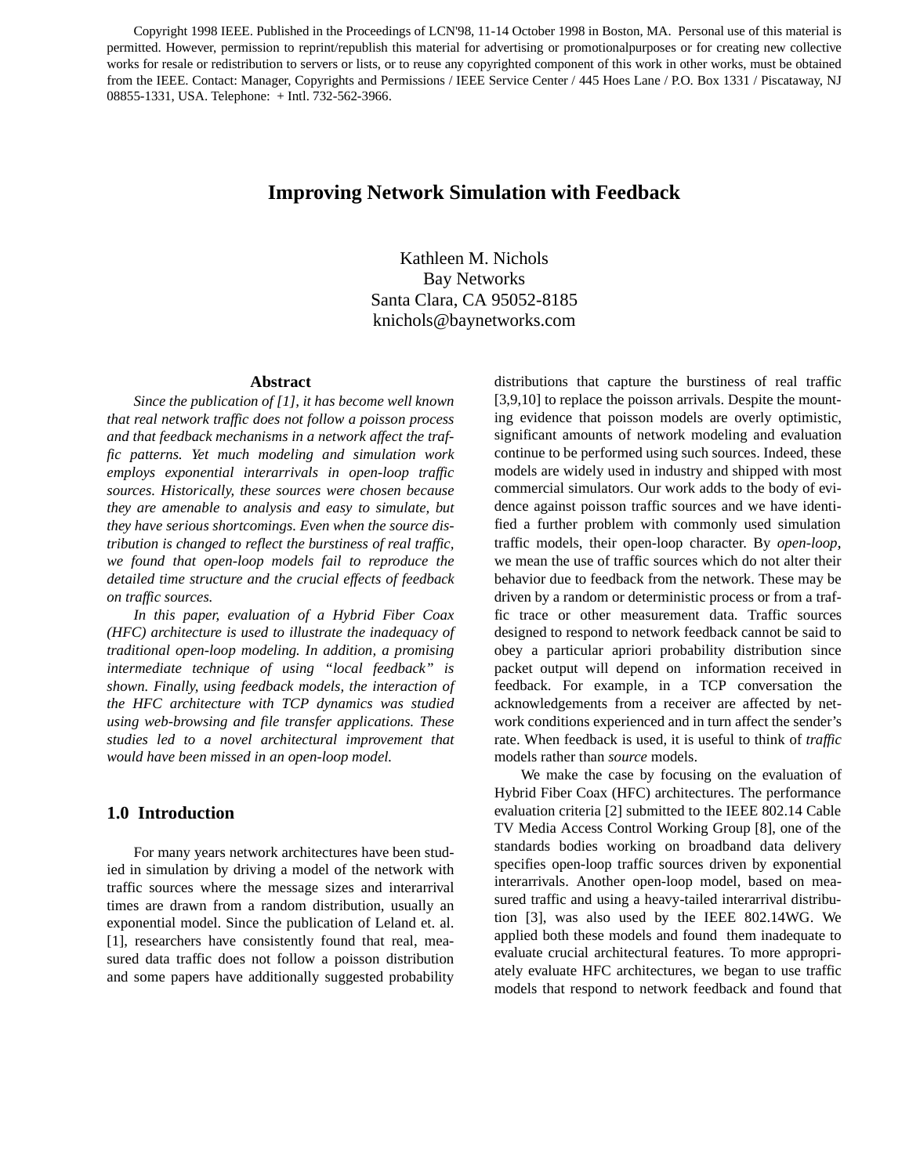Copyright 1998 IEEE. Published in the Proceedings of LCN'98, 11-14 October 1998 in Boston, MA. Personal use of this material is permitted. However, permission to reprint/republish this material for advertising or promotionalpurposes or for creating new collective works for resale or redistribution to servers or lists, or to reuse any copyrighted component of this work in other works, must be obtained from the IEEE. Contact: Manager, Copyrights and Permissions / IEEE Service Center / 445 Hoes Lane / P.O. Box 1331 / Piscataway, NJ 08855-1331, USA. Telephone: + Intl. 732-562-3966.

# **Improving Network Simulation with Feedback**

Kathleen M. Nichols Bay Networks Santa Clara, CA 95052-8185 knichols@baynetworks.com

#### **Abstract**

*Since the publication of [1], it has become well known that real network traffic does not follow a poisson process and that feedback mechanisms in a network affect the traffic patterns. Yet much modeling and simulation work employs exponential interarrivals in open-loop traffic sources. Historically, these sources were chosen because they are amenable to analysis and easy to simulate, but they have serious shortcomings. Even when the source distribution is changed to reflect the burstiness of real traffic, we found that open-loop models fail to reproduce the detailed time structure and the crucial effects of feedback on traffic sources.*

*In this paper, evaluation of a Hybrid Fiber Coax (HFC) architecture is used to illustrate the inadequacy of traditional open-loop modeling. In addition, a promising intermediate technique of using "local feedback" is shown. Finally, using feedback models, the interaction of the HFC architecture with TCP dynamics was studied using web-browsing and file transfer applications. These studies led to a novel architectural improvement that would have been missed in an open-loop model.*

## **1.0 Introduction**

For many years network architectures have been studied in simulation by driving a model of the network with traffic sources where the message sizes and interarrival times are drawn from a random distribution, usually an exponential model. Since the publication of Leland et. al. [1], researchers have consistently found that real, measured data traffic does not follow a poisson distribution and some papers have additionally suggested probability distributions that capture the burstiness of real traffic [3,9,10] to replace the poisson arrivals. Despite the mounting evidence that poisson models are overly optimistic, significant amounts of network modeling and evaluation continue to be performed using such sources. Indeed, these models are widely used in industry and shipped with most commercial simulators. Our work adds to the body of evidence against poisson traffic sources and we have identified a further problem with commonly used simulation traffic models, their open-loop character. By *open-loop,* we mean the use of traffic sources which do not alter their behavior due to feedback from the network. These may be driven by a random or deterministic process or from a traffic trace or other measurement data. Traffic sources designed to respond to network feedback cannot be said to obey a particular apriori probability distribution since packet output will depend on information received in feedback. For example, in a TCP conversation the acknowledgements from a receiver are affected by network conditions experienced and in turn affect the sender's rate. When feedback is used, it is useful to think of *traffic* models rather than *source* models.

We make the case by focusing on the evaluation of Hybrid Fiber Coax (HFC) architectures. The performance evaluation criteria [2] submitted to the IEEE 802.14 Cable TV Media Access Control Working Group [8], one of the standards bodies working on broadband data delivery specifies open-loop traffic sources driven by exponential interarrivals. Another open-loop model, based on measured traffic and using a heavy-tailed interarrival distribution [3], was also used by the IEEE 802.14WG. We applied both these models and found them inadequate to evaluate crucial architectural features. To more appropriately evaluate HFC architectures, we began to use traffic models that respond to network feedback and found that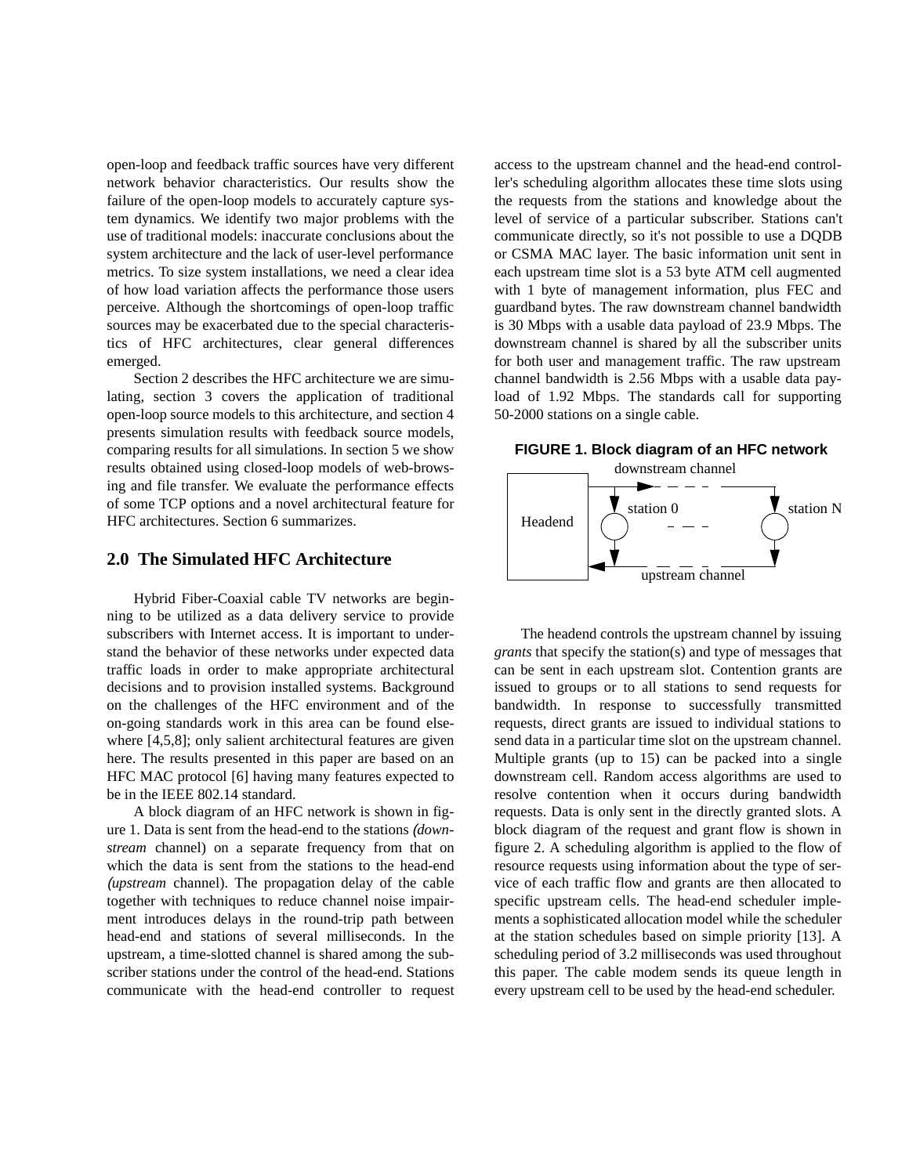open-loop and feedback traffic sources have very different network behavior characteristics. Our results show the failure of the open-loop models to accurately capture system dynamics. We identify two major problems with the use of traditional models: inaccurate conclusions about the system architecture and the lack of user-level performance metrics. To size system installations, we need a clear idea of how load variation affects the performance those users perceive. Although the shortcomings of open-loop traffic sources may be exacerbated due to the special characteristics of HFC architectures, clear general differences emerged.

Section 2 describes the HFC architecture we are simulating, section 3 covers the application of traditional open-loop source models to this architecture, and section 4 presents simulation results with feedback source models, comparing results for all simulations. In section 5 we show results obtained using closed-loop models of web-browsing and file transfer. We evaluate the performance effects of some TCP options and a novel architectural feature for HFC architectures. Section 6 summarizes.

## **2.0 The Simulated HFC Architecture**

Hybrid Fiber-Coaxial cable TV networks are beginning to be utilized as a data delivery service to provide subscribers with Internet access. It is important to understand the behavior of these networks under expected data traffic loads in order to make appropriate architectural decisions and to provision installed systems. Background on the challenges of the HFC environment and of the on-going standards work in this area can be found elsewhere [4,5,8]; only salient architectural features are given here. The results presented in this paper are based on an HFC MAC protocol [6] having many features expected to be in the IEEE 802.14 standard.

A block diagram of an HFC network is shown in figure 1. Data is sent from the head-end to the stations (*downstream* channel) on a separate frequency from that on which the data is sent from the stations to the head-end (*upstream* channel). The propagation delay of the cable together with techniques to reduce channel noise impairment introduces delays in the round-trip path between head-end and stations of several milliseconds. In the upstream, a time-slotted channel is shared among the subscriber stations under the control of the head-end. Stations communicate with the head-end controller to request access to the upstream channel and the head-end controller's scheduling algorithm allocates these time slots using the requests from the stations and knowledge about the level of service of a particular subscriber. Stations can't communicate directly, so it's not possible to use a DQDB or CSMA MAC layer. The basic information unit sent in each upstream time slot is a 53 byte ATM cell augmented with 1 byte of management information, plus FEC and guardband bytes. The raw downstream channel bandwidth is 30 Mbps with a usable data payload of 23.9 Mbps. The downstream channel is shared by all the subscriber units for both user and management traffic. The raw upstream channel bandwidth is 2.56 Mbps with a usable data payload of 1.92 Mbps. The standards call for supporting 50-2000 stations on a single cable.

**FIGURE 1. Block diagram of an HFC network**



The headend controls the upstream channel by issuing *grants* that specify the station(s) and type of messages that can be sent in each upstream slot. Contention grants are issued to groups or to all stations to send requests for bandwidth. In response to successfully transmitted requests, direct grants are issued to individual stations to send data in a particular time slot on the upstream channel. Multiple grants (up to 15) can be packed into a single downstream cell. Random access algorithms are used to resolve contention when it occurs during bandwidth requests. Data is only sent in the directly granted slots. A block diagram of the request and grant flow is shown in figure 2. A scheduling algorithm is applied to the flow of resource requests using information about the type of service of each traffic flow and grants are then allocated to specific upstream cells. The head-end scheduler implements a sophisticated allocation model while the scheduler at the station schedules based on simple priority [13]. A scheduling period of 3.2 milliseconds was used throughout this paper. The cable modem sends its queue length in every upstream cell to be used by the head-end scheduler.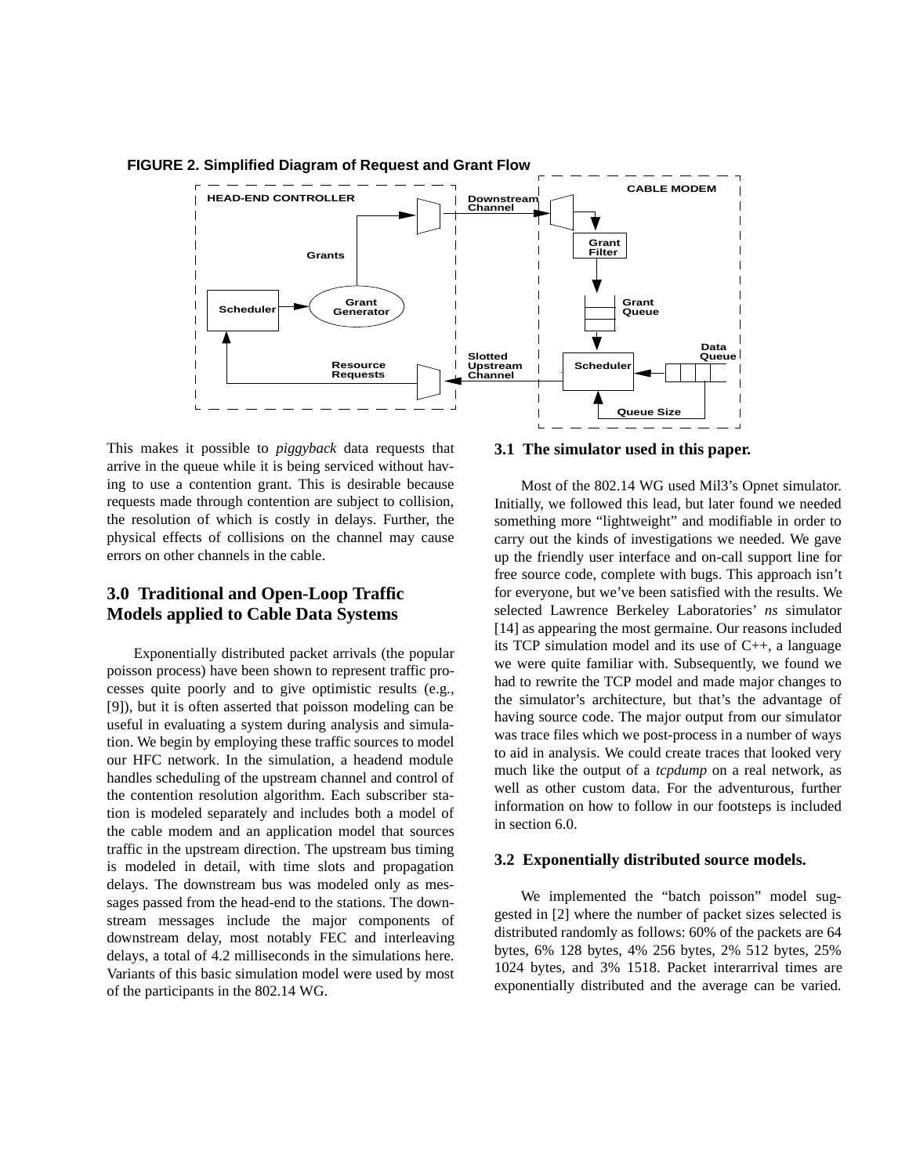

**FIGURE 2. Simplified Diagram of Request and Grant Flow**

This makes it possible to *piggyback* data requests that arrive in the queue while it is being serviced without having to use a contention grant. This is desirable because requests made through contention are subject to collision, the resolution of which is costly in delays. Further, the physical effects of collisions on the channel may cause errors on other channels in the cable.

# **3.0 Traditional and Open-Loop Traffic Models applied to Cable Data Systems**

Exponentially distributed packet arrivals (the popular poisson process) have been shown to represent traffic processes quite poorly and to give optimistic results (e.g., [9]), but it is often asserted that poisson modeling can be useful in evaluating a system during analysis and simulation. We begin by employing these traffic sources to model our HFC network. In the simulation, a headend module handles scheduling of the upstream channel and control of the contention resolution algorithm. Each subscriber station is modeled separately and includes both a model of the cable modem and an application model that sources traffic in the upstream direction. The upstream bus timing is modeled in detail, with time slots and propagation delays. The downstream bus was modeled only as messages passed from the head-end to the stations. The downstream messages include the major components of downstream delay, most notably FEC and interleaving delays, a total of 4.2 milliseconds in the simulations here. Variants of this basic simulation model were used by most of the participants in the 802.14 WG.

#### **3.1 The simulator used in this paper.**

Most of the 802.14 WG used Mil3's Opnet simulator. Initially, we followed this lead, but later found we needed something more "lightweight" and modifiable in order to carry out the kinds of investigations we needed. We gave up the friendly user interface and on-call support line for free source code, complete with bugs. This approach isn't for everyone, but we've been satisfied with the results. We selected Lawrence Berkeley Laboratories' *ns* simulator [14] as appearing the most germaine. Our reasons included its TCP simulation model and its use of C++, a language we were quite familiar with. Subsequently, we found we had to rewrite the TCP model and made major changes to the simulator's architecture, but that's the advantage of having source code. The major output from our simulator was trace files which we post-process in a number of ways to aid in analysis. We could create traces that looked very much like the output of a *tcpdump* on a real network, as well as other custom data. For the adventurous, further information on how to follow in our footsteps is included in section 6.0.

#### **3.2 Exponentially distributed source models.**

We implemented the "batch poisson" model suggested in [2] where the number of packet sizes selected is distributed randomly as follows: 60% of the packets are 64 bytes, 6% 128 bytes, 4% 256 bytes, 2% 512 bytes, 25% 1024 bytes, and 3% 1518. Packet interarrival times are exponentially distributed and the average can be varied.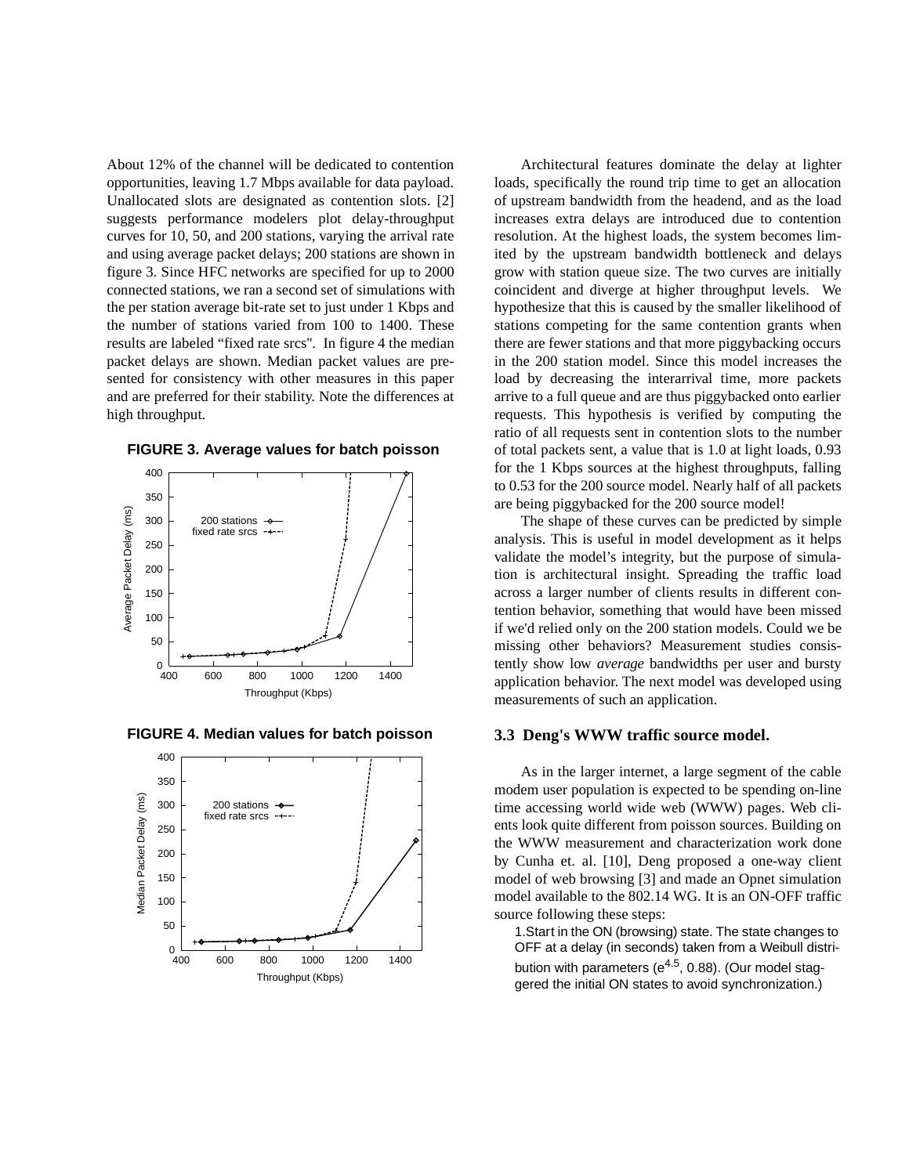About 12% of the channel will be dedicated to contention opportunities, leaving 1.7 Mbps available for data payload. Unallocated slots are designated as contention slots. [2] suggests performance modelers plot delay-throughput curves for 10, 50, and 200 stations, varying the arrival rate and using average packet delays; 200 stations are shown in figure 3. Since HFC networks are specified for up to 2000 connected stations, we ran a second set of simulations with the per station average bit-rate set to just under 1 Kbps and the number of stations varied from 100 to 1400. These results are labeled "fixed rate srcs''. In figure 4 the median packet delays are shown. Median packet values are presented for consistency with other measures in this paper and are preferred for their stability. Note the differences at high throughput.



**FIGURE 3. Average values for batch poisson** 

**FIGURE 4. Median values for batch poisson**



Architectural features dominate the delay at lighter loads, specifically the round trip time to get an allocation of upstream bandwidth from the headend, and as the load increases extra delays are introduced due to contention resolution. At the highest loads, the system becomes limited by the upstream bandwidth bottleneck and delays grow with station queue size. The two curves are initially coincident and diverge at higher throughput levels. We hypothesize that this is caused by the smaller likelihood of stations competing for the same contention grants when there are fewer stations and that more piggybacking occurs in the 200 station model. Since this model increases the load by decreasing the interarrival time, more packets arrive to a full queue and are thus piggybacked onto earlier requests. This hypothesis is verified by computing the ratio of all requests sent in contention slots to the number of total packets sent, a value that is 1.0 at light loads, 0.93 for the 1 Kbps sources at the highest throughputs, falling to 0.53 for the 200 source model. Nearly half of all packets are being piggybacked for the 200 source model!

The shape of these curves can be predicted by simple analysis. This is useful in model development as it helps validate the model's integrity, but the purpose of simulation is architectural insight. Spreading the traffic load across a larger number of clients results in different contention behavior, something that would have been missed if we'd relied only on the 200 station models. Could we be missing other behaviors? Measurement studies consistently show low *average* bandwidths per user and bursty application behavior. The next model was developed using measurements of such an application.

#### **3.3 Deng's WWW traffic source model.**

As in the larger internet, a large segment of the cable modem user population is expected to be spending on-line time accessing world wide web (WWW) pages. Web clients look quite different from poisson sources. Building on the WWW measurement and characterization work done by Cunha et. al. [10], Deng proposed a one-way client model of web browsing [3] and made an Opnet simulation model available to the 802.14 WG. It is an ON-OFF traffic source following these steps:

1.Start in the ON (browsing) state. The state changes to OFF at a delay (in seconds) taken from a Weibull distribution with parameters ( $e^{4.5}$ , 0.88). (Our model staggered the initial ON states to avoid synchronization.)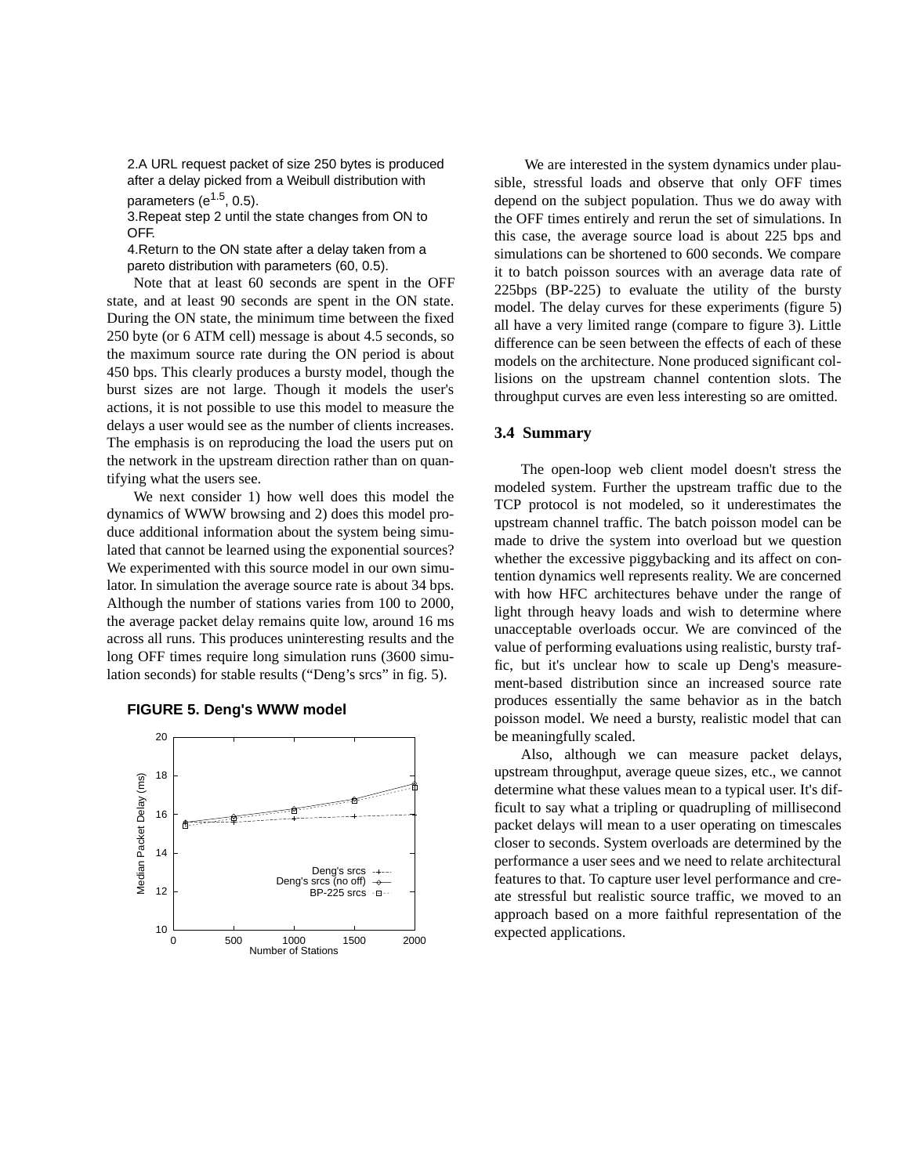2.A URL request packet of size 250 bytes is produced after a delay picked from a Weibull distribution with parameters  $(e^{1.5}, 0.5)$ .

3.Repeat step 2 until the state changes from ON to OFF.

4.Return to the ON state after a delay taken from a pareto distribution with parameters (60, 0.5).

Note that at least 60 seconds are spent in the OFF state, and at least 90 seconds are spent in the ON state. During the ON state, the minimum time between the fixed 250 byte (or 6 ATM cell) message is about 4.5 seconds, so the maximum source rate during the ON period is about 450 bps. This clearly produces a bursty model, though the burst sizes are not large. Though it models the user's actions, it is not possible to use this model to measure the delays a user would see as the number of clients increases. The emphasis is on reproducing the load the users put on the network in the upstream direction rather than on quantifying what the users see.

We next consider 1) how well does this model the dynamics of WWW browsing and 2) does this model produce additional information about the system being simulated that cannot be learned using the exponential sources? We experimented with this source model in our own simulator. In simulation the average source rate is about 34 bps. Although the number of stations varies from 100 to 2000, the average packet delay remains quite low, around 16 ms across all runs. This produces uninteresting results and the long OFF times require long simulation runs (3600 simulation seconds) for stable results ("Deng's srcs" in fig. 5).

**FIGURE 5. Deng's WWW model**



 We are interested in the system dynamics under plausible, stressful loads and observe that only OFF times depend on the subject population. Thus we do away with the OFF times entirely and rerun the set of simulations. In this case, the average source load is about 225 bps and simulations can be shortened to 600 seconds. We compare it to batch poisson sources with an average data rate of 225bps (BP-225) to evaluate the utility of the bursty model. The delay curves for these experiments (figure 5) all have a very limited range (compare to figure 3). Little difference can be seen between the effects of each of these models on the architecture. None produced significant collisions on the upstream channel contention slots. The throughput curves are even less interesting so are omitted.

#### **3.4 Summary**

The open-loop web client model doesn't stress the modeled system. Further the upstream traffic due to the TCP protocol is not modeled, so it underestimates the upstream channel traffic. The batch poisson model can be made to drive the system into overload but we question whether the excessive piggybacking and its affect on contention dynamics well represents reality. We are concerned with how HFC architectures behave under the range of light through heavy loads and wish to determine where unacceptable overloads occur. We are convinced of the value of performing evaluations using realistic, bursty traffic, but it's unclear how to scale up Deng's measurement-based distribution since an increased source rate produces essentially the same behavior as in the batch poisson model. We need a bursty, realistic model that can be meaningfully scaled.

Also, although we can measure packet delays, upstream throughput, average queue sizes, etc., we cannot determine what these values mean to a typical user. It's difficult to say what a tripling or quadrupling of millisecond packet delays will mean to a user operating on timescales closer to seconds. System overloads are determined by the performance a user sees and we need to relate architectural features to that. To capture user level performance and create stressful but realistic source traffic, we moved to an approach based on a more faithful representation of the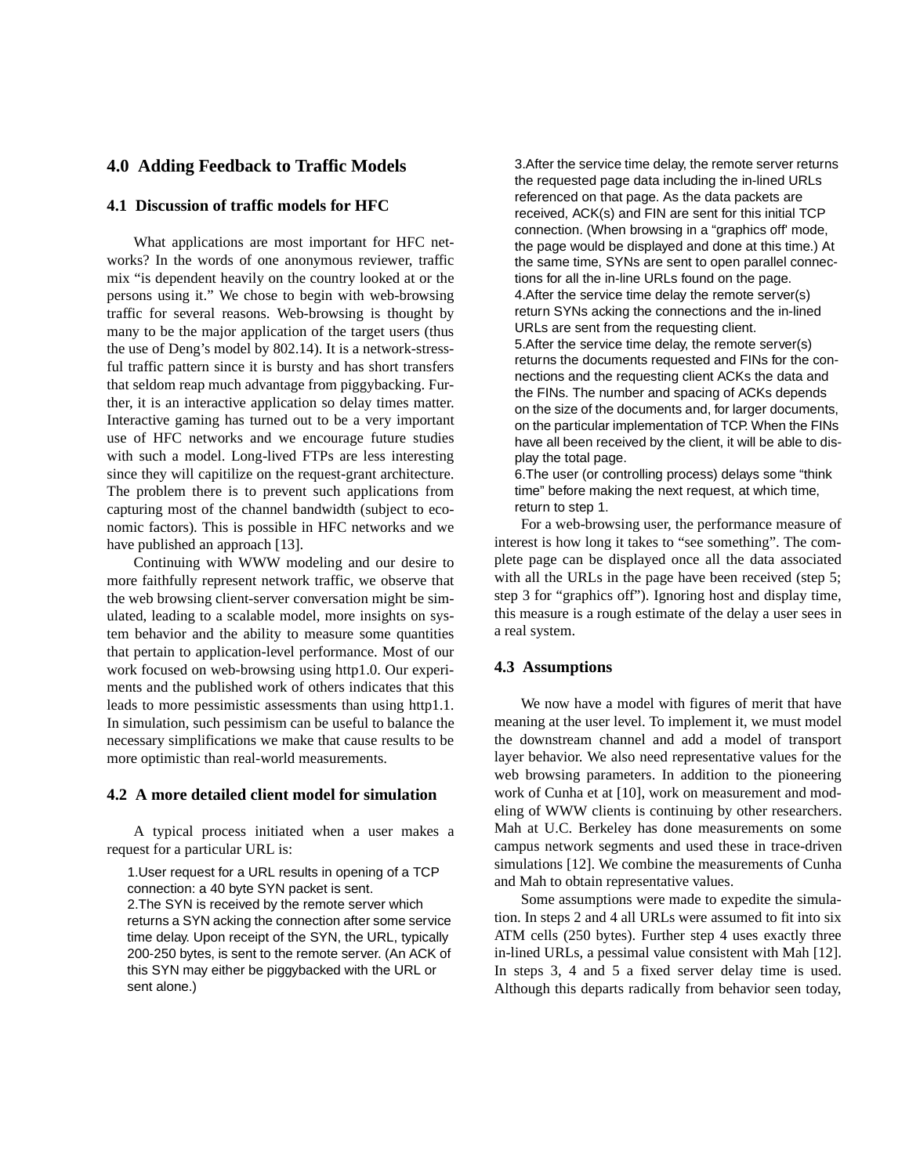## **4.0 Adding Feedback to Traffic Models**

#### **4.1 Discussion of traffic models for HFC**

What applications are most important for HFC networks? In the words of one anonymous reviewer, traffic mix "is dependent heavily on the country looked at or the persons using it." We chose to begin with web-browsing traffic for several reasons. Web-browsing is thought by many to be the major application of the target users (thus the use of Deng's model by 802.14). It is a network-stressful traffic pattern since it is bursty and has short transfers that seldom reap much advantage from piggybacking. Further, it is an interactive application so delay times matter. Interactive gaming has turned out to be a very important use of HFC networks and we encourage future studies with such a model. Long-lived FTPs are less interesting since they will capitilize on the request-grant architecture. The problem there is to prevent such applications from capturing most of the channel bandwidth (subject to economic factors). This is possible in HFC networks and we have published an approach [13].

Continuing with WWW modeling and our desire to more faithfully represent network traffic, we observe that the web browsing client-server conversation might be simulated, leading to a scalable model, more insights on system behavior and the ability to measure some quantities that pertain to application-level performance. Most of our work focused on web-browsing using http1.0. Our experiments and the published work of others indicates that this leads to more pessimistic assessments than using http1.1. In simulation, such pessimism can be useful to balance the necessary simplifications we make that cause results to be more optimistic than real-world measurements.

#### **4.2 A more detailed client model for simulation**

A typical process initiated when a user makes a request for a particular URL is:

1.User request for a URL results in opening of a TCP connection: a 40 byte SYN packet is sent. 2.The SYN is received by the remote server which returns a SYN acking the connection after some service time delay. Upon receipt of the SYN, the URL, typically 200-250 bytes, is sent to the remote server. (An ACK of this SYN may either be piggybacked with the URL or sent alone.)

3.After the service time delay, the remote server returns the requested page data including the in-lined URLs referenced on that page. As the data packets are received, ACK(s) and FIN are sent for this initial TCP connection. (When browsing in a "graphics off' mode, the page would be displayed and done at this time.) At the same time, SYNs are sent to open parallel connections for all the in-line URLs found on the page. 4.After the service time delay the remote server(s) return SYNs acking the connections and the in-lined URLs are sent from the requesting client. 5.After the service time delay, the remote server(s) returns the documents requested and FINs for the connections and the requesting client ACKs the data and the FINs. The number and spacing of ACKs depends on the size of the documents and, for larger documents, on the particular implementation of TCP. When the FINs have all been received by the client, it will be able to display the total page. 6.The user (or controlling process) delays some "think

time" before making the next request, at which time, return to step 1.

For a web-browsing user, the performance measure of interest is how long it takes to "see something". The complete page can be displayed once all the data associated with all the URLs in the page have been received (step 5; step 3 for "graphics off"). Ignoring host and display time, this measure is a rough estimate of the delay a user sees in a real system.

## **4.3 Assumptions**

We now have a model with figures of merit that have meaning at the user level. To implement it, we must model the downstream channel and add a model of transport layer behavior. We also need representative values for the web browsing parameters. In addition to the pioneering work of Cunha et at [10], work on measurement and modeling of WWW clients is continuing by other researchers. Mah at U.C. Berkeley has done measurements on some campus network segments and used these in trace-driven simulations [12]. We combine the measurements of Cunha and Mah to obtain representative values.

Some assumptions were made to expedite the simulation. In steps 2 and 4 all URLs were assumed to fit into six ATM cells (250 bytes). Further step 4 uses exactly three in-lined URLs, a pessimal value consistent with Mah [12]. In steps 3, 4 and 5 a fixed server delay time is used. Although this departs radically from behavior seen today,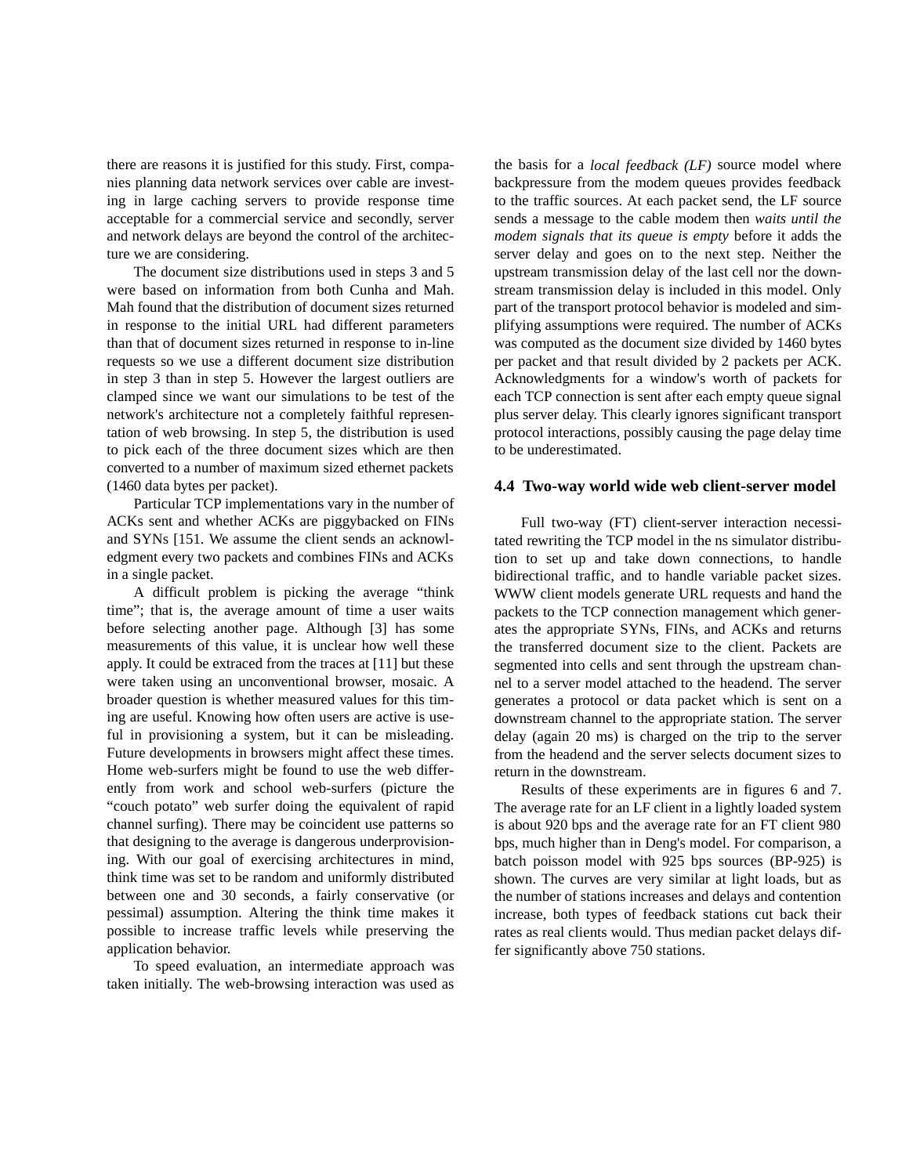there are reasons it is justified for this study. First, companies planning data network services over cable are investing in large caching servers to provide response time acceptable for a commercial service and secondly, server and network delays are beyond the control of the architecture we are considering.

The document size distributions used in steps 3 and 5 were based on information from both Cunha and Mah. Mah found that the distribution of document sizes returned in response to the initial URL had different parameters than that of document sizes returned in response to in-line requests so we use a different document size distribution in step 3 than in step 5. However the largest outliers are clamped since we want our simulations to be test of the network's architecture not a completely faithful representation of web browsing. In step 5, the distribution is used to pick each of the three document sizes which are then converted to a number of maximum sized ethernet packets (1460 data bytes per packet).

Particular TCP implementations vary in the number of ACKs sent and whether ACKs are piggybacked on FINs and SYNs [151. We assume the client sends an acknowledgment every two packets and combines FINs and ACKs in a single packet.

A difficult problem is picking the average "think time"; that is, the average amount of time a user waits before selecting another page. Although [3] has some measurements of this value, it is unclear how well these apply. It could be extraced from the traces at [11] but these were taken using an unconventional browser, mosaic. A broader question is whether measured values for this timing are useful. Knowing how often users are active is useful in provisioning a system, but it can be misleading. Future developments in browsers might affect these times. Home web-surfers might be found to use the web differently from work and school web-surfers (picture the "couch potato" web surfer doing the equivalent of rapid channel surfing). There may be coincident use patterns so that designing to the average is dangerous underprovisioning. With our goal of exercising architectures in mind, think time was set to be random and uniformly distributed between one and 30 seconds, a fairly conservative (or pessimal) assumption. Altering the think time makes it possible to increase traffic levels while preserving the application behavior.

To speed evaluation, an intermediate approach was taken initially. The web-browsing interaction was used as

the basis for a *local feedback (LF)* source model where backpressure from the modem queues provides feedback to the traffic sources. At each packet send, the LF source sends a message to the cable modem then *waits until the modem signals that its queue is empty* before it adds the server delay and goes on to the next step. Neither the upstream transmission delay of the last cell nor the downstream transmission delay is included in this model. Only part of the transport protocol behavior is modeled and simplifying assumptions were required. The number of ACKs was computed as the document size divided by 1460 bytes per packet and that result divided by 2 packets per ACK. Acknowledgments for a window's worth of packets for each TCP connection is sent after each empty queue signal plus server delay. This clearly ignores significant transport protocol interactions, possibly causing the page delay time to be underestimated.

#### **4.4 Two-way world wide web client-server model**

Full two-way (FT) client-server interaction necessitated rewriting the TCP model in the ns simulator distribution to set up and take down connections, to handle bidirectional traffic, and to handle variable packet sizes. WWW client models generate URL requests and hand the packets to the TCP connection management which generates the appropriate SYNs, FINs, and ACKs and returns the transferred document size to the client. Packets are segmented into cells and sent through the upstream channel to a server model attached to the headend. The server generates a protocol or data packet which is sent on a downstream channel to the appropriate station. The server delay (again 20 ms) is charged on the trip to the server from the headend and the server selects document sizes to return in the downstream.

Results of these experiments are in figures 6 and 7. The average rate for an LF client in a lightly loaded system is about 920 bps and the average rate for an FT client 980 bps, much higher than in Deng's model. For comparison, a batch poisson model with 925 bps sources (BP-925) is shown. The curves are very similar at light loads, but as the number of stations increases and delays and contention increase, both types of feedback stations cut back their rates as real clients would. Thus median packet delays differ significantly above 750 stations.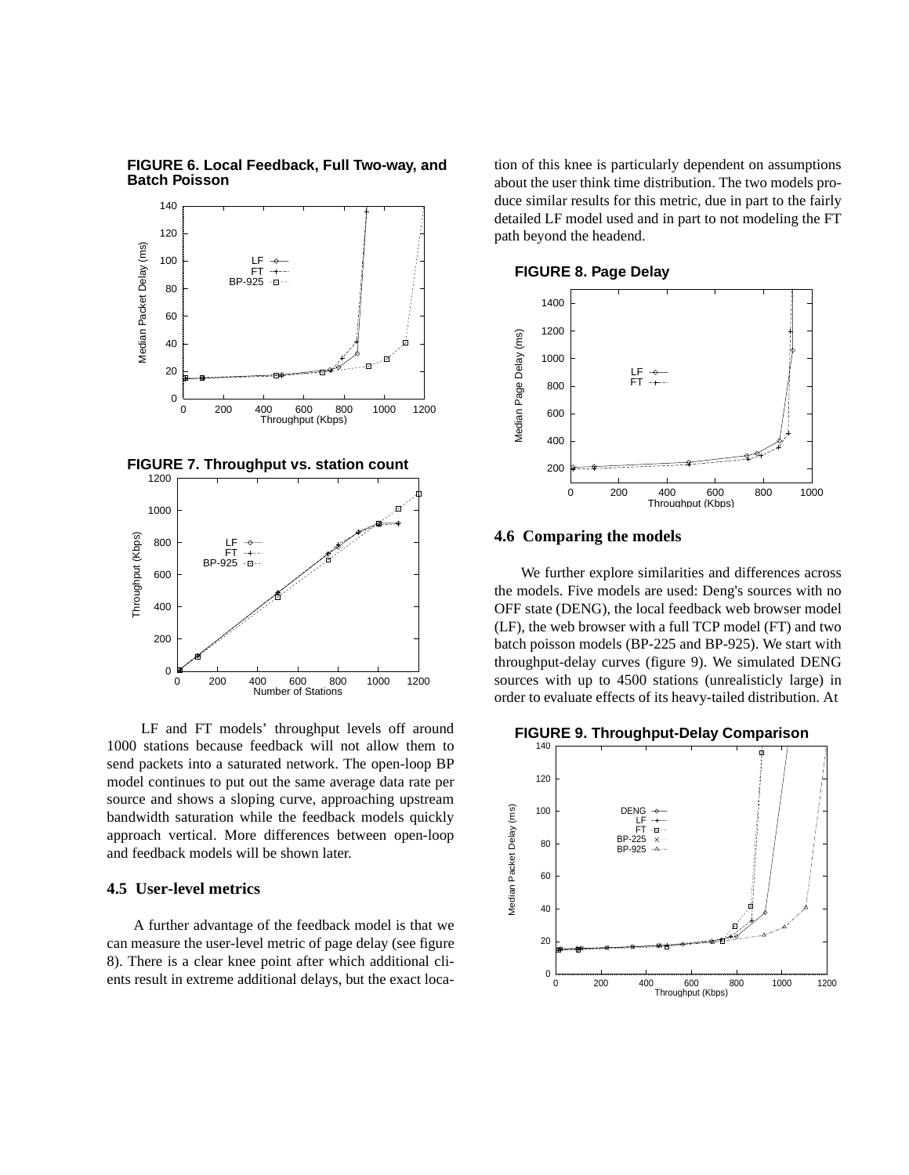**FIGURE 6. Local Feedback, Full Two-way, and Batch Poisson** 



**FIGURE 7. Throughput vs. station count**



 LF and FT models' throughput levels off around 1000 stations because feedback will not allow them to send packets into a saturated network. The open-loop BP model continues to put out the same average data rate per source and shows a sloping curve, approaching upstream bandwidth saturation while the feedback models quickly approach vertical. More differences between open-loop and feedback models will be shown later.

## **4.5 User-level metrics**

A further advantage of the feedback model is that we can measure the user-level metric of page delay (see figure 8). There is a clear knee point after which additional clients result in extreme additional delays, but the exact location of this knee is particularly dependent on assumptions about the user think time distribution. The two models produce similar results for this metric, due in part to the fairly detailed LF model used and in part to not modeling the FT path beyond the headend.

**FIGURE 8. Page Delay**



## **4.6 Comparing the models**

We further explore similarities and differences across the models. Five models are used: Deng's sources with no OFF state (DENG), the local feedback web browser model (LF), the web browser with a full TCP model (FT) and two batch poisson models (BP-225 and BP-925). We start with throughput-delay curves (figure 9). We simulated DENG sources with up to 4500 stations (unrealisticly large) in order to evaluate effects of its heavy-tailed distribution. At

## **FIGURE 9. Throughput-Delay Comparison**

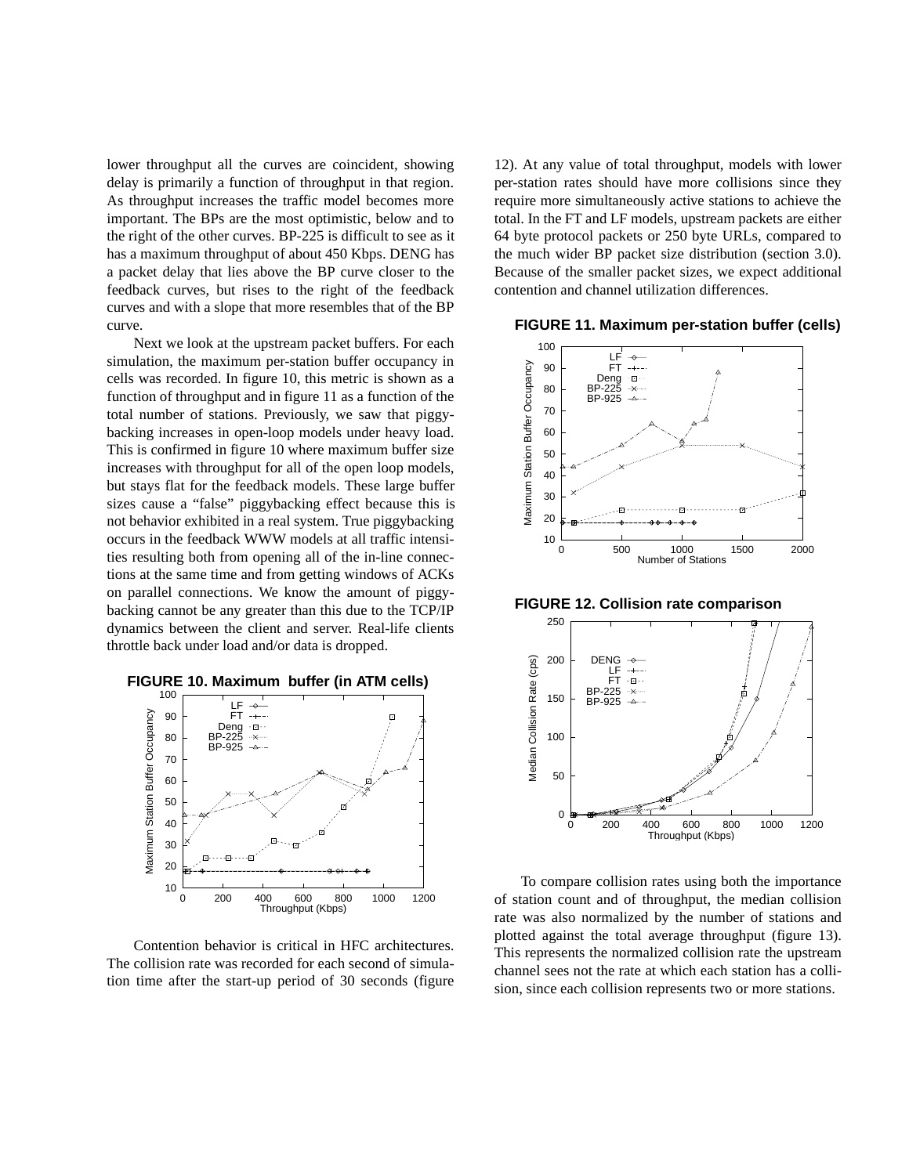lower throughput all the curves are coincident, showing delay is primarily a function of throughput in that region. As throughput increases the traffic model becomes more important. The BPs are the most optimistic, below and to the right of the other curves. BP-225 is difficult to see as it has a maximum throughput of about 450 Kbps. DENG has a packet delay that lies above the BP curve closer to the feedback curves, but rises to the right of the feedback curves and with a slope that more resembles that of the BP curve.

Next we look at the upstream packet buffers. For each simulation, the maximum per-station buffer occupancy in cells was recorded. In figure 10, this metric is shown as a function of throughput and in figure 11 as a function of the total number of stations. Previously, we saw that piggybacking increases in open-loop models under heavy load. This is confirmed in figure 10 where maximum buffer size increases with throughput for all of the open loop models, but stays flat for the feedback models. These large buffer sizes cause a "false" piggybacking effect because this is not behavior exhibited in a real system. True piggybacking occurs in the feedback WWW models at all traffic intensities resulting both from opening all of the in-line connections at the same time and from getting windows of ACKs on parallel connections. We know the amount of piggybacking cannot be any greater than this due to the TCP/IP dynamics between the client and server. Real-life clients throttle back under load and/or data is dropped.





Contention behavior is critical in HFC architectures. The collision rate was recorded for each second of simulation time after the start-up period of 30 seconds (figure

12). At any value of total throughput, models with lower per-station rates should have more collisions since they require more simultaneously active stations to achieve the total. In the FT and LF models, upstream packets are either 64 byte protocol packets or 250 byte URLs, compared to the much wider BP packet size distribution (section 3.0). Because of the smaller packet sizes, we expect additional contention and channel utilization differences.

## **FIGURE 11. Maximum per-station buffer (cells)**



**FIGURE 12. Collision rate comparison**



To compare collision rates using both the importance of station count and of throughput, the median collision rate was also normalized by the number of stations and plotted against the total average throughput (figure 13). This represents the normalized collision rate the upstream channel sees not the rate at which each station has a collision, since each collision represents two or more stations.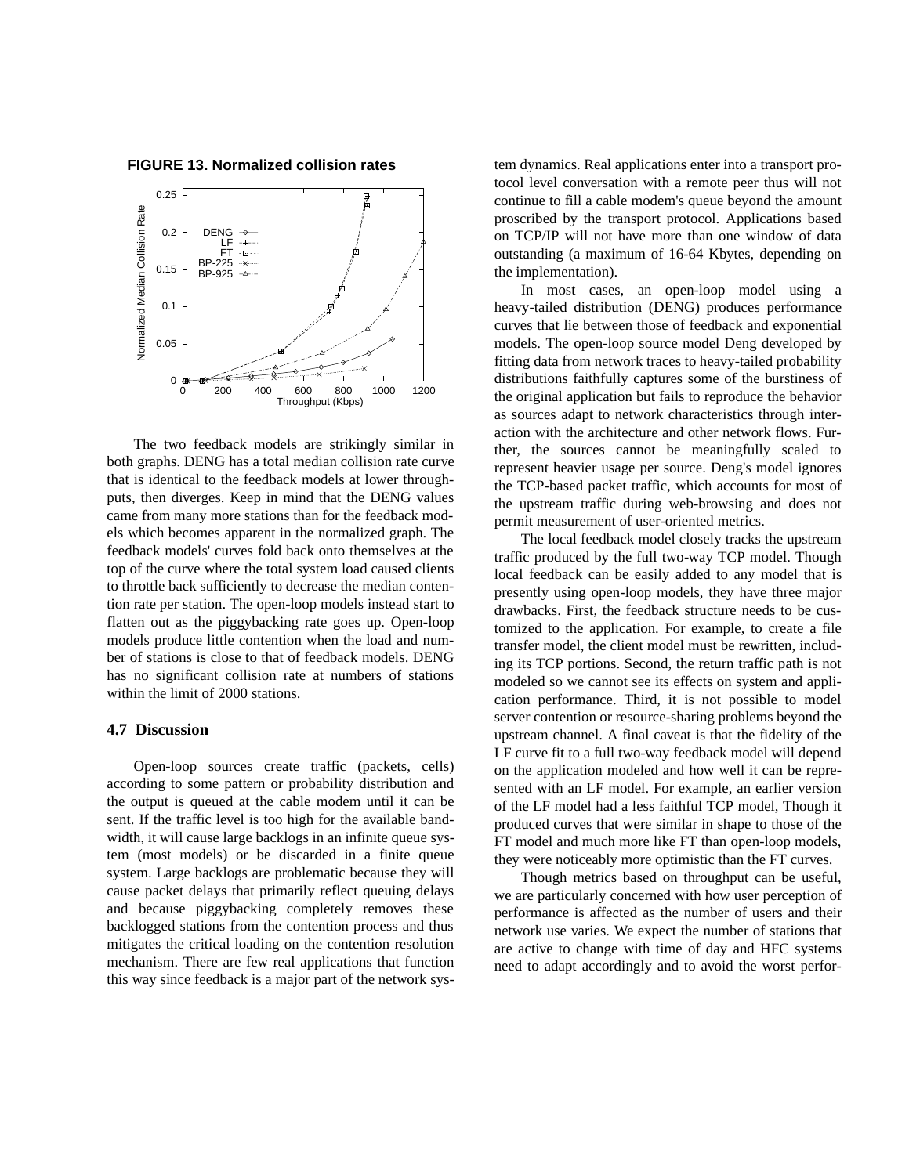**FIGURE 13. Normalized collision rates** 



The two feedback models are strikingly similar in both graphs. DENG has a total median collision rate curve that is identical to the feedback models at lower throughputs, then diverges. Keep in mind that the DENG values came from many more stations than for the feedback models which becomes apparent in the normalized graph. The feedback models' curves fold back onto themselves at the top of the curve where the total system load caused clients to throttle back sufficiently to decrease the median contention rate per station. The open-loop models instead start to flatten out as the piggybacking rate goes up. Open-loop models produce little contention when the load and number of stations is close to that of feedback models. DENG has no significant collision rate at numbers of stations within the limit of 2000 stations.

#### **4.7 Discussion**

Open-loop sources create traffic (packets, cells) according to some pattern or probability distribution and the output is queued at the cable modem until it can be sent. If the traffic level is too high for the available bandwidth, it will cause large backlogs in an infinite queue system (most models) or be discarded in a finite queue system. Large backlogs are problematic because they will cause packet delays that primarily reflect queuing delays and because piggybacking completely removes these backlogged stations from the contention process and thus mitigates the critical loading on the contention resolution mechanism. There are few real applications that function this way since feedback is a major part of the network system dynamics. Real applications enter into a transport protocol level conversation with a remote peer thus will not continue to fill a cable modem's queue beyond the amount proscribed by the transport protocol. Applications based on TCP/IP will not have more than one window of data outstanding (a maximum of 16-64 Kbytes, depending on the implementation).

In most cases, an open-loop model using a heavy-tailed distribution (DENG) produces performance curves that lie between those of feedback and exponential models. The open-loop source model Deng developed by fitting data from network traces to heavy-tailed probability distributions faithfully captures some of the burstiness of the original application but fails to reproduce the behavior as sources adapt to network characteristics through interaction with the architecture and other network flows. Further, the sources cannot be meaningfully scaled to represent heavier usage per source. Deng's model ignores the TCP-based packet traffic, which accounts for most of the upstream traffic during web-browsing and does not permit measurement of user-oriented metrics.

The local feedback model closely tracks the upstream traffic produced by the full two-way TCP model. Though local feedback can be easily added to any model that is presently using open-loop models, they have three major drawbacks. First, the feedback structure needs to be customized to the application. For example, to create a file transfer model, the client model must be rewritten, including its TCP portions. Second, the return traffic path is not modeled so we cannot see its effects on system and application performance. Third, it is not possible to model server contention or resource-sharing problems beyond the upstream channel. A final caveat is that the fidelity of the LF curve fit to a full two-way feedback model will depend on the application modeled and how well it can be represented with an LF model. For example, an earlier version of the LF model had a less faithful TCP model, Though it produced curves that were similar in shape to those of the FT model and much more like FT than open-loop models, they were noticeably more optimistic than the FT curves.

Though metrics based on throughput can be useful, we are particularly concerned with how user perception of performance is affected as the number of users and their network use varies. We expect the number of stations that are active to change with time of day and HFC systems need to adapt accordingly and to avoid the worst perfor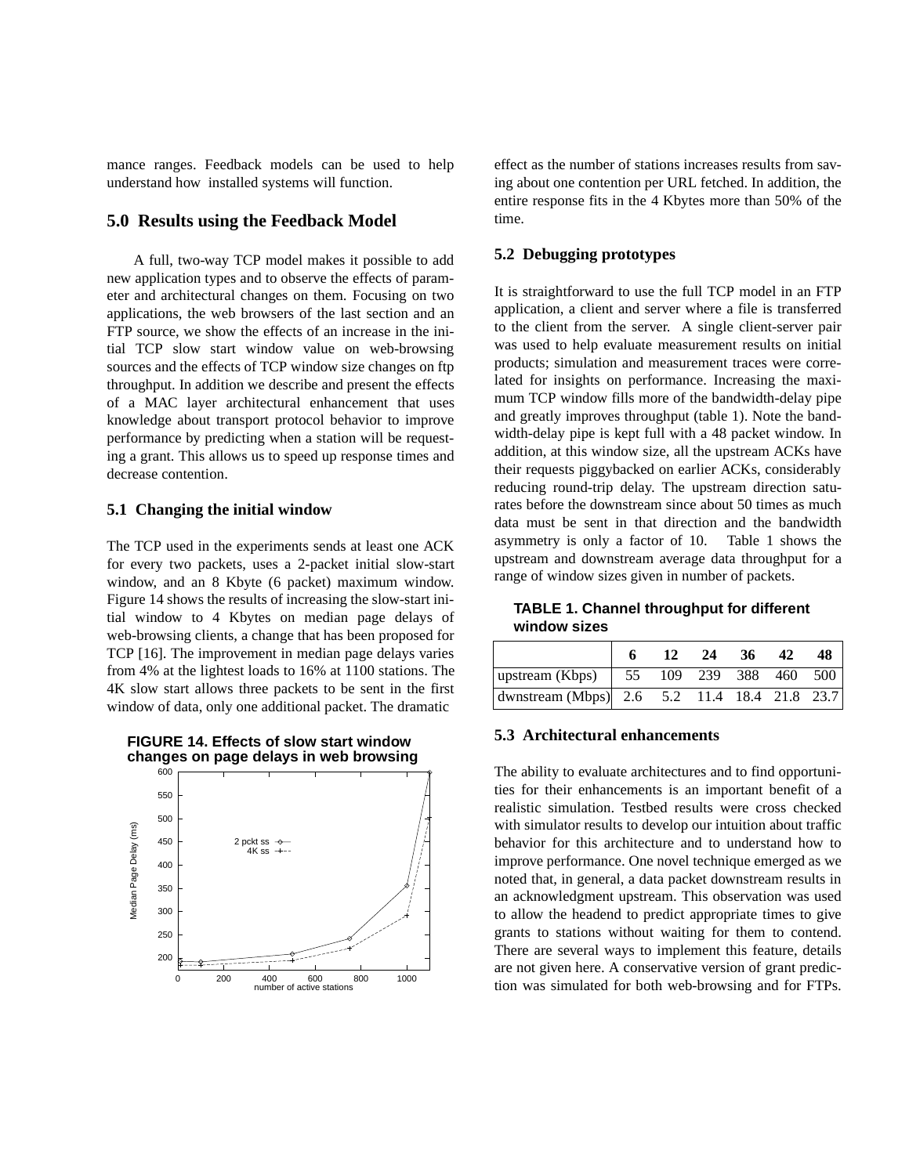mance ranges. Feedback models can be used to help understand how installed systems will function.

## **5.0 Results using the Feedback Model**

A full, two-way TCP model makes it possible to add new application types and to observe the effects of parameter and architectural changes on them. Focusing on two applications, the web browsers of the last section and an FTP source, we show the effects of an increase in the initial TCP slow start window value on web-browsing sources and the effects of TCP window size changes on ftp throughput. In addition we describe and present the effects of a MAC layer architectural enhancement that uses knowledge about transport protocol behavior to improve performance by predicting when a station will be requesting a grant. This allows us to speed up response times and decrease contention.

#### **5.1 Changing the initial window**

The TCP used in the experiments sends at least one ACK for every two packets, uses a 2-packet initial slow-start window, and an 8 Kbyte (6 packet) maximum window. Figure 14 shows the results of increasing the slow-start initial window to 4 Kbytes on median page delays of web-browsing clients, a change that has been proposed for TCP [16]. The improvement in median page delays varies from 4% at the lightest loads to 16% at 1100 stations. The 4K slow start allows three packets to be sent in the first window of data, only one additional packet. The dramatic



effect as the number of stations increases results from saving about one contention per URL fetched. In addition, the entire response fits in the 4 Kbytes more than 50% of the time.

#### **5.2 Debugging prototypes**

It is straightforward to use the full TCP model in an FTP application, a client and server where a file is transferred to the client from the server. A single client-server pair was used to help evaluate measurement results on initial products; simulation and measurement traces were correlated for insights on performance. Increasing the maximum TCP window fills more of the bandwidth-delay pipe and greatly improves throughput (table 1). Note the bandwidth-delay pipe is kept full with a 48 packet window. In addition, at this window size, all the upstream ACKs have their requests piggybacked on earlier ACKs, considerably reducing round-trip delay. The upstream direction saturates before the downstream since about 50 times as much data must be sent in that direction and the bandwidth asymmetry is only a factor of 10. Table 1 shows the upstream and downstream average data throughput for a range of window sizes given in number of packets.

### **TABLE 1. Channel throughput for different window sizes**

|                                              |  | 12 24 36 42 |  | 48 |
|----------------------------------------------|--|-------------|--|----|
| upstream (Kbps)   55 109 239 388 460 500     |  |             |  |    |
| dwnstream (Mbps) 2.6 5.2 11.4 18.4 21.8 23.7 |  |             |  |    |

## **5.3 Architectural enhancements**

The ability to evaluate architectures and to find opportunities for their enhancements is an important benefit of a realistic simulation. Testbed results were cross checked with simulator results to develop our intuition about traffic behavior for this architecture and to understand how to improve performance. One novel technique emerged as we noted that, in general, a data packet downstream results in an acknowledgment upstream. This observation was used to allow the headend to predict appropriate times to give grants to stations without waiting for them to contend. There are several ways to implement this feature, details are not given here. A conservative version of grant prediction was simulated for both web-browsing and for FTPs.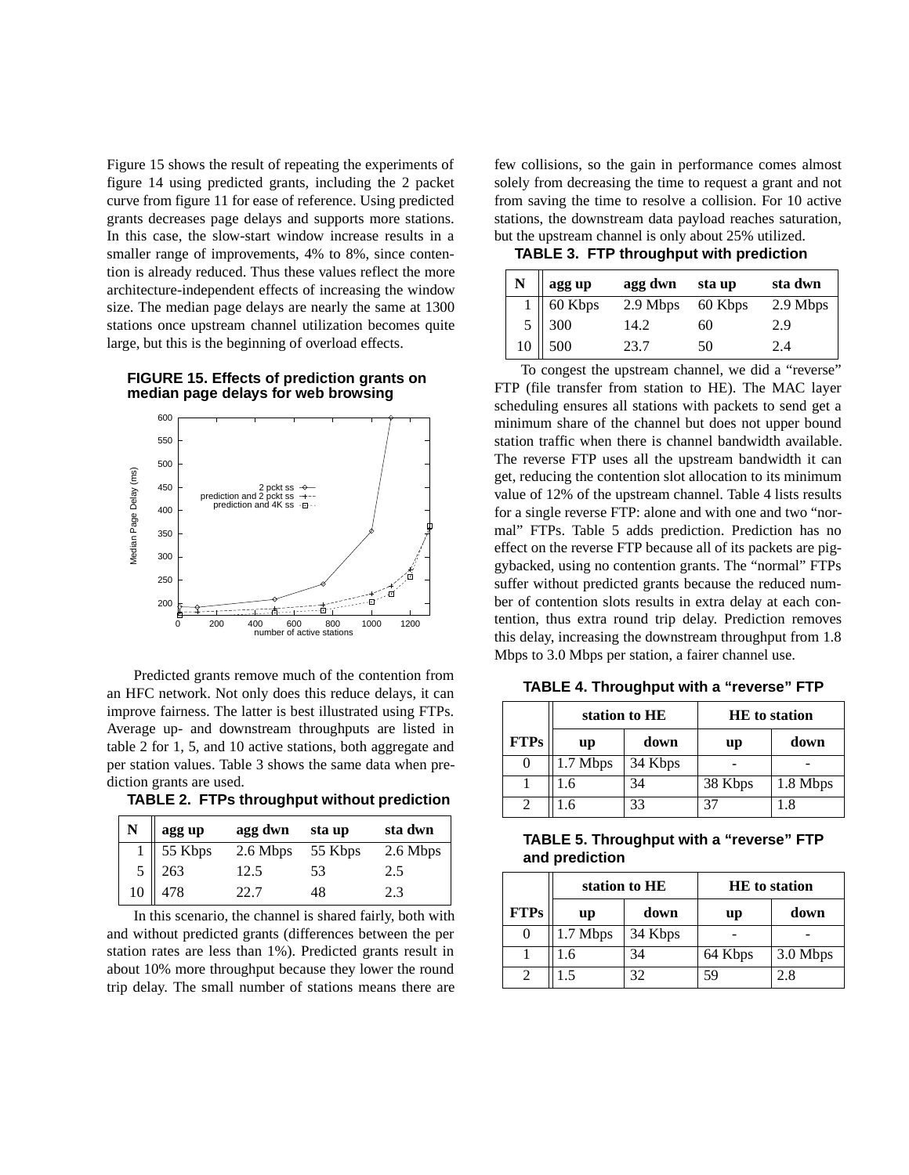Figure 15 shows the result of repeating the experiments of figure 14 using predicted grants, including the 2 packet curve from figure 11 for ease of reference. Using predicted grants decreases page delays and supports more stations. In this case, the slow-start window increase results in a smaller range of improvements, 4% to 8%, since contention is already reduced. Thus these values reflect the more architecture-independent effects of increasing the window size. The median page delays are nearly the same at 1300 stations once upstream channel utilization becomes quite large, but this is the beginning of overload effects.





Predicted grants remove much of the contention from an HFC network. Not only does this reduce delays, it can improve fairness. The latter is best illustrated using FTPs. Average up- and downstream throughputs are listed in table 2 for 1, 5, and 10 active stations, both aggregate and per station values. Table 3 shows the same data when prediction grants are used.

**TABLE 2. FTPs throughput without prediction** 

| $\mathbf N$ | agg up                                               | agg dwn  | sta up  | sta dwn  |
|-------------|------------------------------------------------------|----------|---------|----------|
|             | $\boxed{1 \mid 55}$ Kbps                             | 2.6 Mbps | 55 Kbps | 2.6 Mbps |
|             | $\begin{array}{c c} 5 & 263 \\ 10 & 478 \end{array}$ | 12.5     | 53      | 2.5      |
|             |                                                      | 22.7     | 48      | 2.3      |

In this scenario, the channel is shared fairly, both with and without predicted grants (differences between the per station rates are less than 1%). Predicted grants result in about 10% more throughput because they lower the round trip delay. The small number of stations means there are few collisions, so the gain in performance comes almost solely from decreasing the time to request a grant and not from saving the time to resolve a collision. For 10 active stations, the downstream data payload reaches saturation, but the upstream channel is only about 25% utilized.

**TABLE 3. FTP throughput with prediction** 

| $\mathbf N$ | agg up                                               | agg dwn  | sta up  | sta dwn  |
|-------------|------------------------------------------------------|----------|---------|----------|
|             | $\vert$ 60 Kbps                                      | 2.9 Mbps | 60 Kbps | 2.9 Mbps |
|             | $\begin{array}{c c} 5 & 300 \\ 10 & 500 \end{array}$ | 14.2     | 60      | 2.9      |
|             |                                                      | 23.7     | 50      | 2.4      |

To congest the upstream channel, we did a "reverse" FTP (file transfer from station to HE). The MAC layer scheduling ensures all stations with packets to send get a minimum share of the channel but does not upper bound station traffic when there is channel bandwidth available. The reverse FTP uses all the upstream bandwidth it can get, reducing the contention slot allocation to its minimum value of 12% of the upstream channel. Table 4 lists results for a single reverse FTP: alone and with one and two "normal" FTPs. Table 5 adds prediction. Prediction has no effect on the reverse FTP because all of its packets are piggybacked, using no contention grants. The "normal" FTPs suffer without predicted grants because the reduced number of contention slots results in extra delay at each contention, thus extra round trip delay. Prediction removes this delay, increasing the downstream throughput from 1.8 Mbps to 3.0 Mbps per station, a fairer channel use.

**TABLE 4. Throughput with a "reverse" FTP** 

|             | station to HE |         | <b>HE</b> to station |          |  |
|-------------|---------------|---------|----------------------|----------|--|
| <b>FTPs</b> | up            | down    | up                   | down     |  |
|             | 1.7 Mbps      | 34 Kbps |                      |          |  |
|             | 1.6           | 34      | 38 Kbps              | 1.8 Mbps |  |
|             | .6            |         |                      | l .8     |  |

**TABLE 5. Throughput with a "reverse" FTP and prediction**

|             | station to HE |         | <b>HE</b> to station |          |  |
|-------------|---------------|---------|----------------------|----------|--|
| <b>FTPs</b> | up            | down    | up                   | down     |  |
|             | 1.7 Mbps      | 34 Kbps |                      |          |  |
|             | 1.6           | 34      | 64 Kbps              | 3.0 Mbps |  |
|             | 1.5           | 32      | 59                   | 2.8      |  |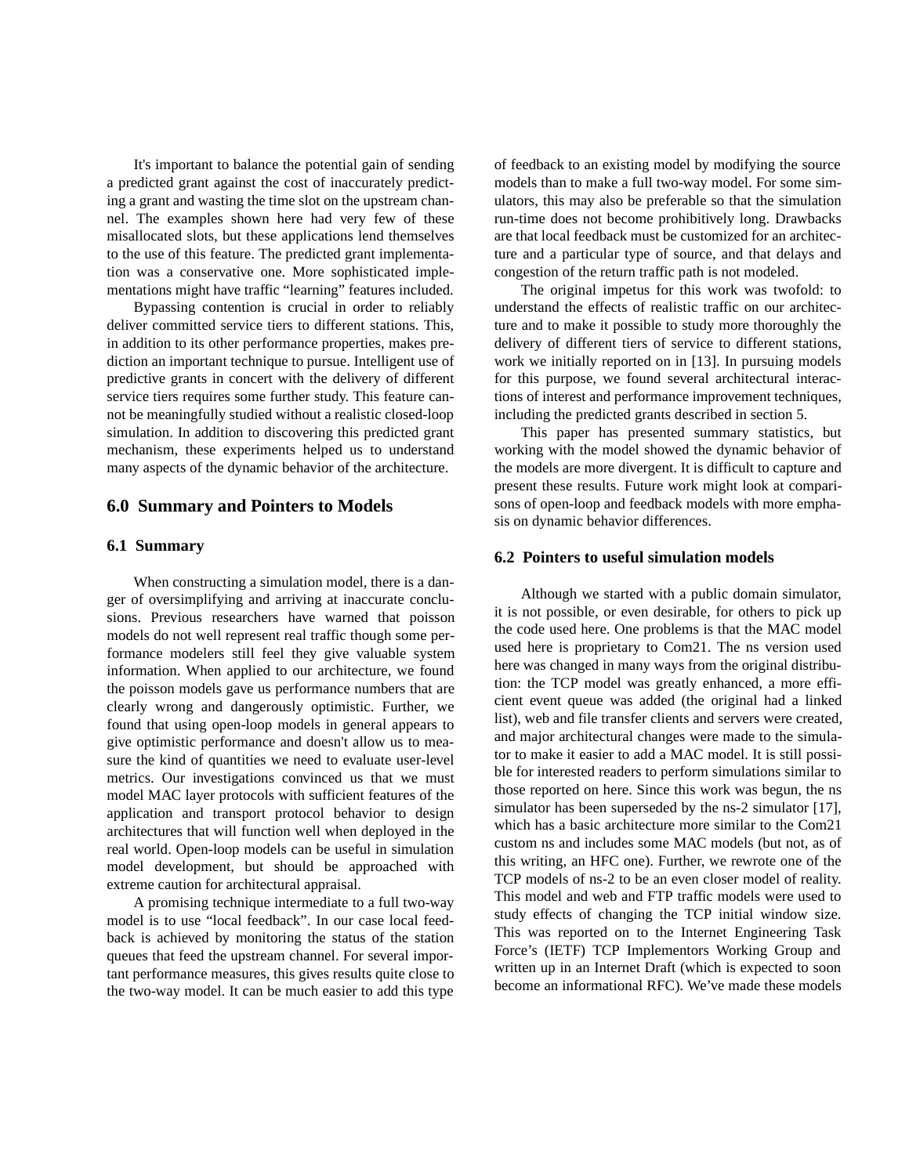It's important to balance the potential gain of sending a predicted grant against the cost of inaccurately predicting a grant and wasting the time slot on the upstream channel. The examples shown here had very few of these misallocated slots, but these applications lend themselves to the use of this feature. The predicted grant implementation was a conservative one. More sophisticated implementations might have traffic "learning" features included.

Bypassing contention is crucial in order to reliably deliver committed service tiers to different stations. This, in addition to its other performance properties, makes prediction an important technique to pursue. Intelligent use of predictive grants in concert with the delivery of different service tiers requires some further study. This feature cannot be meaningfully studied without a realistic closed-loop simulation. In addition to discovering this predicted grant mechanism, these experiments helped us to understand many aspects of the dynamic behavior of the architecture.

## **6.0 Summary and Pointers to Models**

## **6.1 Summary**

When constructing a simulation model, there is a danger of oversimplifying and arriving at inaccurate conclusions. Previous researchers have warned that poisson models do not well represent real traffic though some performance modelers still feel they give valuable system information. When applied to our architecture, we found the poisson models gave us performance numbers that are clearly wrong and dangerously optimistic. Further, we found that using open-loop models in general appears to give optimistic performance and doesn't allow us to measure the kind of quantities we need to evaluate user-level metrics. Our investigations convinced us that we must model MAC layer protocols with sufficient features of the application and transport protocol behavior to design architectures that will function well when deployed in the real world. Open-loop models can be useful in simulation model development, but should be approached with extreme caution for architectural appraisal.

A promising technique intermediate to a full two-way model is to use "local feedback". In our case local feedback is achieved by monitoring the status of the station queues that feed the upstream channel. For several important performance measures, this gives results quite close to the two-way model. It can be much easier to add this type

of feedback to an existing model by modifying the source models than to make a full two-way model. For some simulators, this may also be preferable so that the simulation run-time does not become prohibitively long. Drawbacks are that local feedback must be customized for an architecture and a particular type of source, and that delays and congestion of the return traffic path is not modeled.

The original impetus for this work was twofold: to understand the effects of realistic traffic on our architecture and to make it possible to study more thoroughly the delivery of different tiers of service to different stations, work we initially reported on in [13]. In pursuing models for this purpose, we found several architectural interactions of interest and performance improvement techniques, including the predicted grants described in section 5.

This paper has presented summary statistics, but working with the model showed the dynamic behavior of the models are more divergent. It is difficult to capture and present these results. Future work might look at comparisons of open-loop and feedback models with more emphasis on dynamic behavior differences.

#### **6.2 Pointers to useful simulation models**

Although we started with a public domain simulator, it is not possible, or even desirable, for others to pick up the code used here. One problems is that the MAC model used here is proprietary to Com21. The ns version used here was changed in many ways from the original distribution: the TCP model was greatly enhanced, a more efficient event queue was added (the original had a linked list), web and file transfer clients and servers were created, and major architectural changes were made to the simulator to make it easier to add a MAC model. It is still possible for interested readers to perform simulations similar to those reported on here. Since this work was begun, the ns simulator has been superseded by the ns-2 simulator [17], which has a basic architecture more similar to the Com21 custom ns and includes some MAC models (but not, as of this writing, an HFC one). Further, we rewrote one of the TCP models of ns-2 to be an even closer model of reality. This model and web and FTP traffic models were used to study effects of changing the TCP initial window size. This was reported on to the Internet Engineering Task Force's (IETF) TCP Implementors Working Group and written up in an Internet Draft (which is expected to soon become an informational RFC). We've made these models